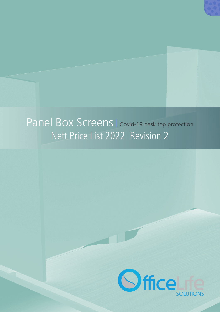

# Panel Box Screens | Covid-19 desk top protection Nett Price List 2022 Revision 2

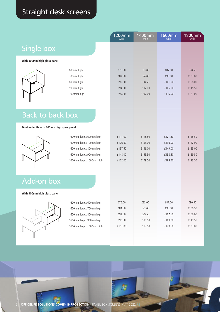## Straight desk screens

|                                          |                           | 1200mm<br>wide | $1400$ mm<br>wide | 1600mm<br>wide | 1800mm<br>wide |
|------------------------------------------|---------------------------|----------------|-------------------|----------------|----------------|
| Single box                               |                           |                |                   |                |                |
|                                          |                           |                |                   |                |                |
| With 300mm high glass panel              |                           |                |                   |                |                |
|                                          | 600mm high                | £76.50         | £83.00            | £87.00         | £90.50         |
|                                          | 700mm high                | £87.50         | £94.00            | £98.00         | £103.00        |
|                                          | 800mm high                | £90.00         | £98.50            | £101.00        | £108.00        |
|                                          | 900mm high                | £94.00         | £102.00           | £105.00        | £115.50        |
|                                          | 1000mm high               | £99.00         | £107.00           | £116.00        | £121.00        |
|                                          |                           |                |                   |                |                |
|                                          |                           |                |                   |                |                |
| <b>Back to back box</b>                  |                           |                |                   |                |                |
|                                          |                           |                |                   |                |                |
| Double depth with 300mm high glass panel |                           |                |                   |                |                |
|                                          | 1600mm deep x 600mm high  | £111.00        | £118.50           | £121.50        | £125.50        |
|                                          | 1600mm deep x 700mm high  | £126.50        | £133.00           | £136.00        | £142.00        |
|                                          | 1600mm deep x 800mm high  | £137.50        | £146.00           | £149.00        | £155.00        |
|                                          | 1600mm deep x 900mm high  | £148.00        | £155.50           | £158.50        | £169.50        |
|                                          | 1600mm deep x 1000mm high | £172.00        | £179.50           | £188.50        | £193.50        |
|                                          |                           |                |                   |                |                |
|                                          |                           |                |                   |                |                |
| <b>Add-on box</b>                        |                           |                |                   |                |                |
| With 300mm high glass panel              |                           |                |                   |                |                |
|                                          | 1600mm deep x 600mm high  | £76.50         | £83.00            | £87.00         | £90.50         |
|                                          | 1600mm deep x 700mm high  | £84.00         | £92.00            | £95.00         | £100.50        |
|                                          | 1600mm deep x 800mm high  | £91.50         | £99.50            | £102.50        | £109.00        |
|                                          | 1600mm deep x 900mm high  | £98.50         | £105.50           | £109.00        | £119.50        |
|                                          | 1600mm deep x 1000mm high | £111.00        | £119.50           | £129.50        | £133.00        |
|                                          |                           |                |                   |                |                |
|                                          |                           |                |                   |                |                |

鷒

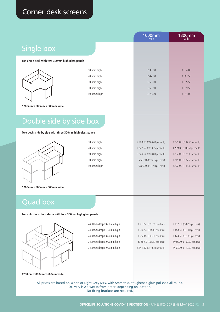### Corner desk screens

|                                                  |             | <b>1600mm</b><br>wide | 1800mm<br>wide |
|--------------------------------------------------|-------------|-----------------------|----------------|
| Single box                                       |             |                       |                |
| For single desk with two 300mm high glass panels |             |                       |                |
|                                                  | 600mm high  | £130.50               | £134.00        |
|                                                  | 700mm high  | £142.00               | £147.50        |
|                                                  | 800mm high  | £150.00               | £155.50        |
|                                                  | 900mm high  | £158.50               | £169.50        |
|                                                  | 1000mm high | £178.00               | £183.00        |

**1200mm x 800mm x 600mm wide**

## Double side by side box

**Two desks side by side with three 300mm high glass panels**



| 600mm high  |
|-------------|
| 700mm high  |
| 800mm high  |
| 900mm high  |
| 1000mm high |
|             |

| £208.00 (£104.00 per desk) |  |
|----------------------------|--|
| £227.50 (£113.75 per desk) |  |
| £240.00 (£120.00 per desk) |  |
| £253.50 (£126.75 per desk) |  |
| £283.00 (£141.50 per desk) |  |

£225.00 (£112.50 per desk) £239.00 (£119.50 per desk) £252.00 (£126.00 per desk) £275.00 (£137.50 per desk) £292.00 (£146.00 per desk)

**1200mm x 800mm x 600mm wide**

#### Quad box

**For a cluster of four desks with four 300mm high glass panels**



2400mm deep x 600mm high 2400mm deep x 700mm high 2400mm deep x 800mm high 2400mm deep x 900mm high 2400mm deep x 900mm high

£303.50 (£75.88 per desk) £336.50 (£84.13 per desk) £362.00 (£90.50 per desk) £386.50 (£96.63 per desk) £441.50 (£110.38 per desk)

£312.50 (£78.13 per desk) £348.00 (£87.00 per desk) £374.50 (£93.63 per desk) £408.00 (£102.00 per desk) £450.00 (£112.50 per desk)

#### **1200mm x 800mm x 600mm wide**

All prices are based on White or Light Grey MFC with 5mm thick toughened glass polished all round. Delivery is 2-3 weeks from order, depending on location. No fixing brackets are required.